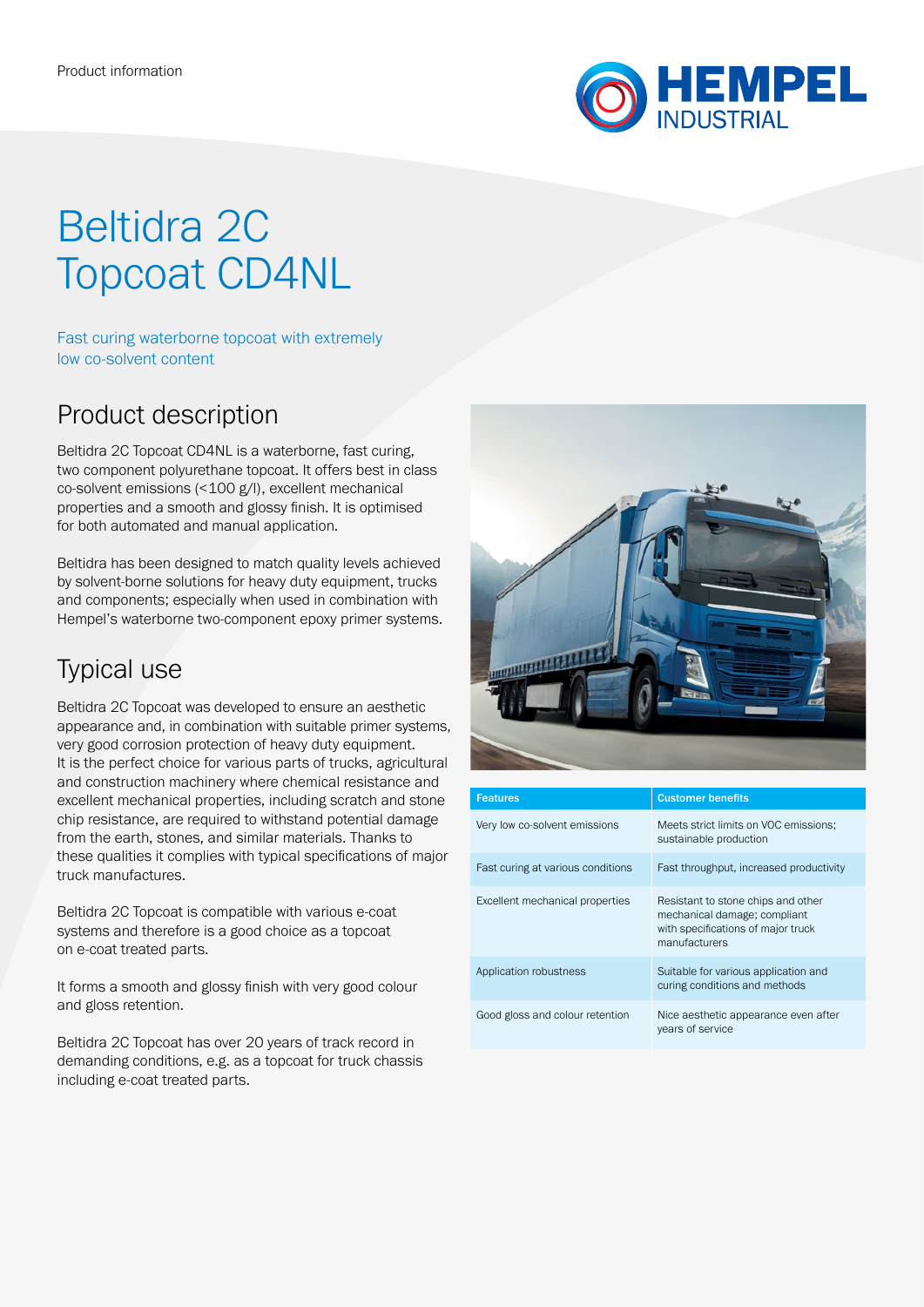

# Beltidra 2C Topcoat CD4NL

Fast curing waterborne topcoat with extremely low co-solvent content

### Product description

Beltidra 2C Topcoat CD4NL is a waterborne, fast curing, two component polyurethane topcoat. It offers best in class co-solvent emissions (<100 g/l), excellent mechanical properties and a smooth and glossy finish. It is optimised for both automated and manual application.

Beltidra has been designed to match quality levels achieved by solvent-borne solutions for heavy duty equipment, trucks and components; especially when used in combination with Hempel's waterborne two-component epoxy primer systems.

## Typical use

Beltidra 2C Topcoat was developed to ensure an aesthetic appearance and, in combination with suitable primer systems, very good corrosion protection of heavy duty equipment. It is the perfect choice for various parts of trucks, agricultural and construction machinery where chemical resistance and excellent mechanical properties, including scratch and stone chip resistance, are required to withstand potential damage from the earth, stones, and similar materials. Thanks to these qualities it complies with typical specifications of major truck manufactures.

Beltidra 2C Topcoat is compatible with various e-coat systems and therefore is a good choice as a topcoat on e-coat treated parts.

It forms a smooth and glossy finish with very good colour and gloss retention.

Beltidra 2C Topcoat has over 20 years of track record in demanding conditions, e.g. as a topcoat for truck chassis including e-coat treated parts.



| <b>Features</b>                   | <b>Customer benefits</b>                                                                                                  |
|-----------------------------------|---------------------------------------------------------------------------------------------------------------------------|
| Very low co-solvent emissions     | Meets strict limits on VOC emissions:<br>sustainable production                                                           |
| Fast curing at various conditions | Fast throughput, increased productivity                                                                                   |
| Excellent mechanical properties   | Resistant to stone chips and other<br>mechanical damage; compliant<br>with specifications of major truck<br>manufacturers |
| Application robustness            | Suitable for various application and<br>curing conditions and methods                                                     |
| Good gloss and colour retention   | Nice aesthetic appearance even after<br>years of service                                                                  |